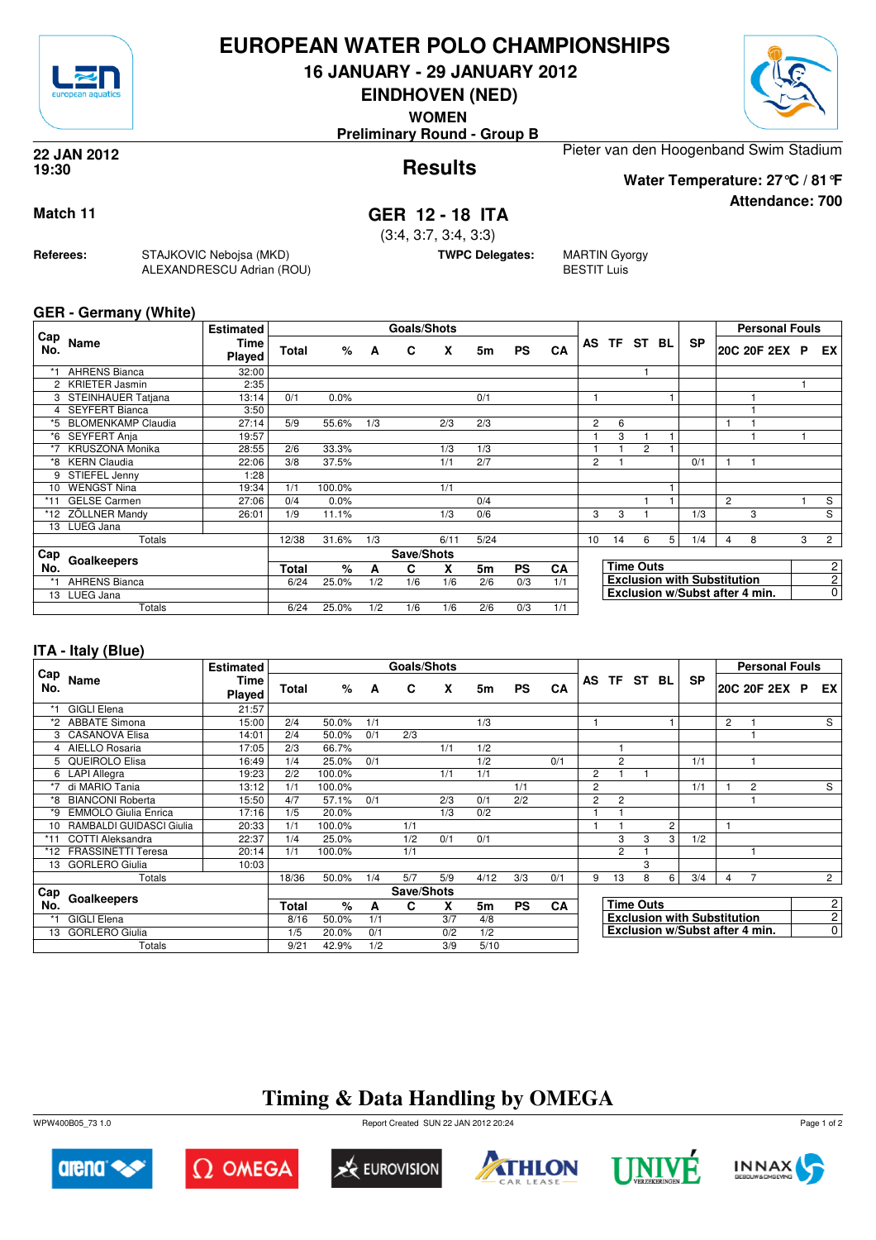

### **EUROPEAN WATER POLO CHAMPIONSHIPS**

**16 JANUARY - 29 JANUARY 2012**

**EINDHOVEN (NED)**

**WOMEN**

**Preliminary Round - Group B**

**Results 22 JAN 2012 19:30**

Pieter van den Hoogenband Swim Stadium **Water Temperature: 27°C / 81°F**

**Attendance: 700**

#### **Match 11 GER 12 - 18 ITA**

(3:4, 3:7, 3:4, 3:3)

**TWPC Delegates:** MARTIN Gyorgy

BESTIT Luis

**GER - Germany (White)**

**Referees:** STAJKOVIC Nebojsa (MKD)

ALEXANDRESCU Adrian (ROU)

| Cap   |                       | <b>Estimated</b> |              |        |     | Goals/Shots |      |      |           |     |    |       |                  |   |                                    |                | <b>Personal Fouls</b> |   |                |
|-------|-----------------------|------------------|--------------|--------|-----|-------------|------|------|-----------|-----|----|-------|------------------|---|------------------------------------|----------------|-----------------------|---|----------------|
| No.   | Name                  | Time<br>Played   | Total        | %      | A   | C           | X    | 5m   | <b>PS</b> | CA  |    | AS TF | ST BL            |   | <b>SP</b>                          |                | 20C 20F 2EX           | P | EX.            |
| $*1$  | <b>AHRENS Bianca</b>  | 32:00            |              |        |     |             |      |      |           |     |    |       |                  |   |                                    |                |                       |   |                |
|       | 2 KRIETER Jasmin      | 2:35             |              |        |     |             |      |      |           |     |    |       |                  |   |                                    |                |                       |   |                |
|       | 3 STEINHAUER Tatjana  | 13:14            | 0/1          | 0.0%   |     |             |      | 0/1  |           |     |    |       |                  |   |                                    |                |                       |   |                |
| 4     | <b>SEYFERT Bianca</b> | 3:50             |              |        |     |             |      |      |           |     |    |       |                  |   |                                    |                |                       |   |                |
|       | *5 BLOMENKAMP Claudia | 27:14            | 5/9          | 55.6%  | 1/3 |             | 2/3  | 2/3  |           |     | 2  | 6     |                  |   |                                    |                |                       |   |                |
|       | *6 SEYFERT Anja       | 19:57            |              |        |     |             |      |      |           |     |    | 3     |                  |   |                                    |                |                       |   |                |
| $*7$  | KRUSZONA Monika       | 28:55            | 2/6          | 33.3%  |     |             | 1/3  | 1/3  |           |     |    |       | $\overline{2}$   |   |                                    |                |                       |   |                |
|       | *8 KERN Claudia       | 22:06            | 3/8          | 37.5%  |     |             | 1/1  | 2/7  |           |     | 2  |       |                  |   | 0/1                                |                |                       |   |                |
| 9     | STIEFEL Jenny         | 1:28             |              |        |     |             |      |      |           |     |    |       |                  |   |                                    |                |                       |   |                |
| 10    | <b>WENGST Nina</b>    | 19:34            | 1/1          | 100.0% |     |             | 1/1  |      |           |     |    |       |                  |   |                                    |                |                       |   |                |
| $*11$ | <b>GELSE Carmen</b>   | 27:06            | 0/4          | 0.0%   |     |             |      | 0/4  |           |     |    |       |                  |   |                                    | $\overline{2}$ |                       |   | S              |
|       | *12 ZÖLLNER Mandy     | 26:01            | 1/9          | 11.1%  |     |             | 1/3  | 0/6  |           |     | 3  | 3     |                  |   | 1/3                                |                | 3                     |   | S              |
| 13    | LUEG Jana             |                  |              |        |     |             |      |      |           |     |    |       |                  |   |                                    |                |                       |   |                |
|       | Totals                |                  | 12/38        | 31.6%  | 1/3 |             | 6/11 | 5/24 |           |     | 10 | 14    | 6                | 5 | 1/4                                | $\overline{4}$ | 8                     | 3 | $\overline{2}$ |
| Cap   |                       |                  |              |        |     | Save/Shots  |      |      |           |     |    |       |                  |   |                                    |                |                       |   |                |
| No.   | Goalkeepers           |                  | <b>Total</b> | %      | A   | C           | X    | 5m   | <b>PS</b> | CA  |    |       | <b>Time Outs</b> |   |                                    |                |                       |   | 2              |
| $*1$  | <b>AHRENS Bianca</b>  |                  | 6/24         | 25.0%  | 1/2 | 1/6         | 1/6  | 2/6  | 0/3       | 1/1 |    |       |                  |   | <b>Exclusion with Substitution</b> |                |                       |   | $\overline{2}$ |
|       | 13 LUEG Jana          |                  |              |        |     |             |      |      |           |     |    |       |                  |   | Exclusion w/Subst after 4 min.     |                |                       |   | 0              |
|       | Totals                |                  | 6/24         | 25.0%  | 1/2 | 1/6         | 1/6  | 2/6  | 0/3       | 1/1 |    |       |                  |   |                                    |                |                       |   |                |

#### **ITA - Italy (Blue)**

|            |                             | <b>Estimated</b> |              |        |     | Goals/Shots |     |      |           |           |                |                |                  |                |                                    |                | <b>Personal Fouls</b>          |  |                |
|------------|-----------------------------|------------------|--------------|--------|-----|-------------|-----|------|-----------|-----------|----------------|----------------|------------------|----------------|------------------------------------|----------------|--------------------------------|--|----------------|
| Cap<br>No. | Name                        | Time<br>Played   | <b>Total</b> | %      | A   | C           | X   | 5m   | <b>PS</b> | CA        |                |                | AS TF ST BL      |                | <b>SP</b>                          |                | 20C 20F 2EX P                  |  | EX I           |
|            | <b>GIGLI Elena</b>          | 21:57            |              |        |     |             |     |      |           |           |                |                |                  |                |                                    |                |                                |  |                |
| *2.        | <b>ABBATE Simona</b>        | 15:00            | 2/4          | 50.0%  | 1/1 |             |     | 1/3  |           |           |                |                |                  |                |                                    | $\overline{2}$ |                                |  | S              |
|            | 3 CASANOVA Elisa            | 14:01            | 2/4          | 50.0%  | 0/1 | 2/3         |     |      |           |           |                |                |                  |                |                                    |                |                                |  |                |
|            | 4 AIELLO Rosaria            | 17:05            | 2/3          | 66.7%  |     |             | 1/1 | 1/2  |           |           |                |                |                  |                |                                    |                |                                |  |                |
|            | 5 QUEIROLO Elisa            | 16:49            | 1/4          | 25.0%  | 0/1 |             |     | 1/2  |           | 0/1       |                | $\overline{2}$ |                  |                | 1/1                                |                |                                |  |                |
|            | 6 LAPI Allegra              | 19:23            | 2/2          | 100.0% |     |             | 1/1 | 1/1  |           |           | $\overline{c}$ |                |                  |                |                                    |                |                                |  |                |
| $*7$       | di MARIO Tania              | 13:12            | 1/1          | 100.0% |     |             |     |      | 1/1       |           | $\overline{c}$ |                |                  |                | 1/1                                |                | 2                              |  | S              |
|            | *8 BIANCONI Roberta         | 15:50            | 4/7          | 57.1%  | 0/1 |             | 2/3 | 0/1  | 2/2       |           | $\overline{2}$ | $\overline{c}$ |                  |                |                                    |                |                                |  |                |
| $*9$       | <b>EMMOLO Giulia Enrica</b> | 17:16            | 1/5          | 20.0%  |     |             | 1/3 | 0/2  |           |           |                |                |                  |                |                                    |                |                                |  |                |
|            | 10 RAMBALDI GUIDASCI Giulia | 20:33            | 1/1          | 100.0% |     | 1/1         |     |      |           |           |                |                |                  | $\overline{2}$ |                                    | 1              |                                |  |                |
| $*11$      | <b>COTTI Aleksandra</b>     | 22:37            | 1/4          | 25.0%  |     | 1/2         | 0/1 | 0/1  |           |           |                | 3              | 3                | 3              | 1/2                                |                |                                |  |                |
| *12        | <b>FRASSINETTI Teresa</b>   | 20:14            | 1/1          | 100.0% |     | 1/1         |     |      |           |           |                | $\overline{2}$ |                  |                |                                    |                |                                |  |                |
| 13         | <b>GORLERO Giulia</b>       | 10:03            |              |        |     |             |     |      |           |           |                |                | 3                |                |                                    |                |                                |  |                |
|            | Totals                      |                  | 18/36        | 50.0%  | 1/4 | 5/7         | 5/9 | 4/12 | 3/3       | 0/1       | 9              | 13             | 8                | 6              | 3/4                                | 4              |                                |  | $2^{\circ}$    |
| <b>Cap</b> |                             |                  |              |        |     | Save/Shots  |     |      |           |           |                |                |                  |                |                                    |                |                                |  |                |
| No.        | Goalkeepers                 |                  | <b>Total</b> | $\%$   | A   | C           | X   | 5m   | <b>PS</b> | <b>CA</b> |                |                | <b>Time Outs</b> |                |                                    |                |                                |  | $\mathbf{2}$   |
|            | <b>GIGLI Elena</b>          |                  | 8/16         | 50.0%  | 1/1 |             | 3/7 | 4/8  |           |           |                |                |                  |                | <b>Exclusion with Substitution</b> |                |                                |  | 2 <sup>1</sup> |
| 13         | <b>GORLERO Giulia</b>       |                  | 1/5          | 20.0%  | 0/1 |             | 0/2 | 1/2  |           |           |                |                |                  |                |                                    |                | Exclusion w/Subst after 4 min. |  | $\overline{0}$ |
|            | Totals                      |                  | 9/21         | 42.9%  | 1/2 |             | 3/9 | 5/10 |           |           |                |                |                  |                |                                    |                |                                |  |                |

## **Timing & Data Handling by OMEGA**

WPW400B05\_73 1.0 Report Created SUN 22 JAN 2012 20:24













Page 1 of 2